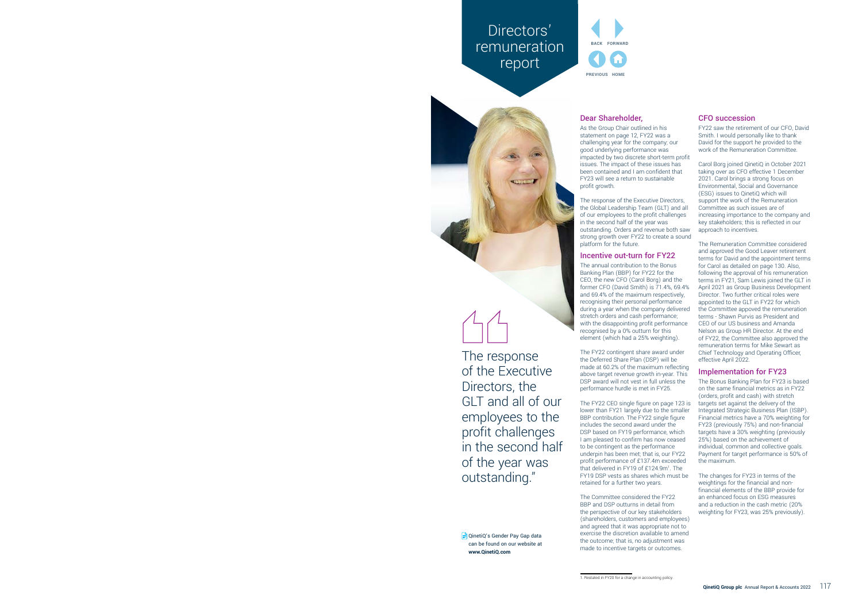# Directors' **remuneration** report



The response of the Executive Directors, the GLT and all of our employees to the profit challenges in the second half of the year was outstanding."

■ QinetiQ's Gender Pay Gap data can be found on our website at **www.QinetiQ.com**



## Dear Shareholder,

As the Group Chair outlined in his statement on page 12, FY22 was a challenging year for the company; our good underlying performance was impacted by two discrete short-term profit issues. The impact of these issues has been contained and I am confident that FY23 will see a return to sustainable profit growth.

The response of the Executive Directors, the Global Leadership Team (GLT) and all of our employees to the profit challenges in the second half of the year was outstanding. Orders and revenue both saw strong growth over FY22 to create a sound platform for the future.

## Incentive out-turn for FY22

The annual contribution to the Bonus Banking Plan (BBP) for FY22 for the CEO, the new CFO (Carol Borg) and the former CFO (David Smith) is 71.4%, 69.4% and 69.4% of the maximum respectively, recognising their personal performance during a year when the company delivered stretch orders and cash performance; with the disappointing profit performance recognised by a 0% outturn for this element (which had a 25% weighting).

The FY22 contingent share award under the Deferred Share Plan (DSP) will be made at 60.2% of the maximum reflecting above target revenue growth in-year. This DSP award will not vest in full unless the performance hurdle is met in FY25.

The FY22 CEO single figure on page 123 is lower than FY21 largely due to the smaller BBP contribution. The FY22 single figure includes the second award under the DSP based on FY19 performance, which I am pleased to confirm has now ceased to be contingent as the performance underpin has been met; that is, our FY22 profit performance of £137.4m exceeded that delivered in FY19 of £124.9m<sup>1</sup>. The FY19 DSP vests as shares which must be retained for a further two years.

The Committee considered the FY22 BBP and DSP outturns in detail from the perspective of our key stakeholders (shareholders, customers and employees) and agreed that it was appropriate not to exercise the discretion available to amend the outcome; that is, no adjustment was made to incentive targets or outcomes.

## CFO succession

FY22 saw the retirement of our CFO, David Smith. I would personally like to thank David for the support he provided to the work of the Remuneration Committee.

Carol Borg joined QinetiQ in October 2021 taking over as CFO effective 1 December 2021. Carol brings a strong focus on Environmental, Social and Governance (ESG) issues to QinetiQ which will support the work of the Remuneration Committee as such issues are of increasing importance to the company and key stakeholders; this is reflected in our approach to incentives.

The Remuneration Committee considered and approved the Good Leaver retirement terms for David and the appointment terms for Carol as detailed on page 130. Also, following the approval of his remuneration terms in FY21, Sam Lewis joined the GLT in April 2021 as Group Business Development Director. Two further critical roles were appointed to the GLT in FY22 for which the Committee appoved the remuneration terms - Shawn Purvis as President and CEO of our US business and Amanda Nelson as Group HR Director. At the end of FY22, the Committee also approved the remuneration terms for Mike Sewart as Chief Technology and Operating Officer, effective April 2022.

## Implementation for FY23

The Bonus Banking Plan for FY23 is based on the same financial metrics as in FY22 (orders, profit and cash) with stretch targets set against the delivery of the Integrated Strategic Business Plan (ISBP). Financial metrics have a 70% weighting for FY23 (previously 75%) and non-financial targets have a 30% weighting (previously 25%) based on the achievement of individual, common and collective goals. Payment for target performance is 50% of the maximum.

The changes for FY23 in terms of the weightings for the financial and nonfinancial elements of the BBP provide for an enhanced focus on ESG measures and a reduction in the cash metric (20% weighting for FY23, was 25% previously).

<sup>1.</sup> Restated in FY20 for a change in accounting policy.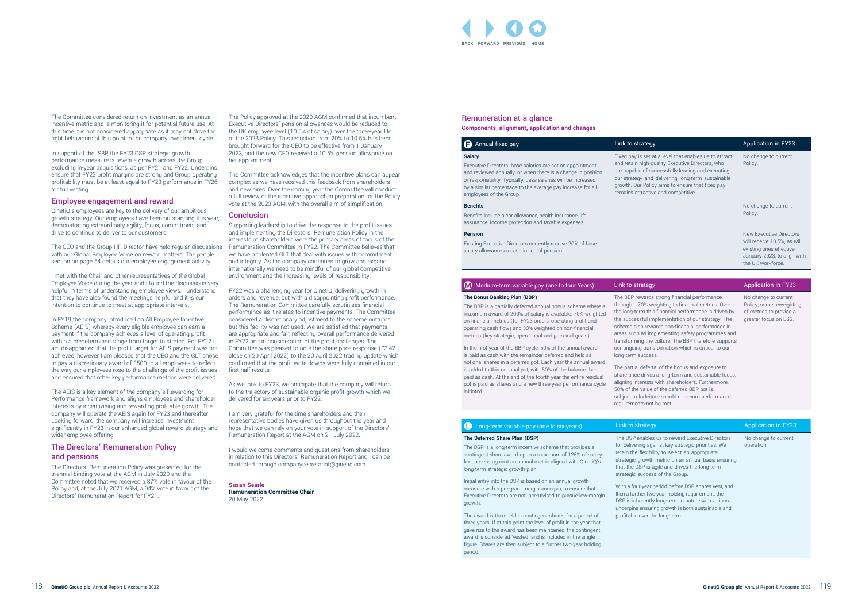#### Remuneration at a glance **Components, alignment, application and changes**

**Annual fixed pay Application in FY233** Link to strategy **Salary** Executive Directors' base salaries are set on appointment and reviewed annually, or when there is a change in position or responsibility. Typically, base salaries will be increased by a similar percentage to the average pay increase for all employees of the Group. Fixed pay is set and retain highare capable of su our strategy and growth. Our Polic remains attractiv

#### **Benefits**

Benefits include a car allowance, health insurance, life assurance, income protection and taxable expenses.

#### **Pension**

| Iy.                                                                                                                                                                                                             | <b>Application in FY23</b>                                                                                                            |
|-----------------------------------------------------------------------------------------------------------------------------------------------------------------------------------------------------------------|---------------------------------------------------------------------------------------------------------------------------------------|
| at a level that enables us to attract<br>quality Executive Directors, who<br>uccessfully leading and executing<br>d delivering long-term sustainable<br>cy aims to ensure that fixed pay<br>ve and competitive. | No change to current<br>Policy.                                                                                                       |
|                                                                                                                                                                                                                 | No change to current<br>Policy.                                                                                                       |
|                                                                                                                                                                                                                 | New Executive Directors<br>will receive 10.5%, as will<br>existing ones effective<br>January 2023, to align with<br>the UK workforce. |
|                                                                                                                                                                                                                 |                                                                                                                                       |
|                                                                                                                                                                                                                 | Albert Barantian (14) FWOO                                                                                                            |

Existing Executive Directors currently receive 20% of base salary allowance as cash in lieu of pension.

#### $\Box$  Medium-term variable pay (one to four Years) Link to strateg

#### **The Bonus Banking Plan (BBP)**

The BBP is a partially deferred annual bonus scheme where a maximum award of 200% of salary is available. 70% weighted on financial metrics (for FY23 orders, operating profit and operating cash flow) and 30% weighted on non-financial metrics (key strategic, operational and personal goals).

In the first year of the BBP cycle, 50% of the annual award is paid as cash with the remainder deferred and held as notional shares in a deferred pot. Each year the annual award is added to this notional pot, with 50% of the balance then paid as cash. At the end of the fourth year the entire residual pot is paid as shares and a new three-year performance cycle initiated.

> The DSP enables us to reward Executive Directors for delivering against key strategic priorities. We retain the flexibility to select an appropriate strategic growth metric on an annual basis ensuring that the DSP is agile and drives the long-term strategic success of the Group.

No change to current operation.

The BBP rewards strong financial performance through a 70% weighting to financial metrics. Over the long-term this financial performance is driven by the successful implementation of our strategy. The scheme also rewards non-financial performance in areas such as implementing safety programmes and transforming the culture. The BBP therefore supports our ongoing transformation which is critical to our

# long-term success.

The partial deferral of the bonus and exposure to share price drives a long-term and sustainable focus, aligning interests with shareholders. Furthermore, 50% of the value of the deferred BBP pot is subject to forfeiture should minimum performance requirements-not be met.

## **C** Long-term variable pay (one to six years) Link to strategy Application in FY23

No change to current Policy; some reweighting of metrics to provide a greater focus on ESG.

#### **The Deferred Share Plan (DSP)**

The DSP is a long-term incentive scheme that provides a contingent share award up to a maximum of 125% of salary for success against an annual metric aligned with QinetiQ's long-term strategic growth plan.

Initial entry into the DSP is based on an annual growth measure with a pre-grant margin underpin, to ensure that Executive Directors are not incentivised to pursue low-margin growth.

The award is then held in contingent shares for a period of three years. If at this point the level of profit in the year that gave rise to the award has been maintained, the contingent award is considered 'vested' and is included in the single figure. Shares are then subject to a further two-year holding period.

With a four-year period before DSP shares vest, and then a further two-year holding requirement, the DSP is inherently long-term in nature with various underpins ensuring growth is both sustainable and profitable over the long-term.

The Committee considered return on investment as an annual incentive metric and is monitoring it for potential future use. At this time it is not considered appropriate as it may not drive the right behaviours at this point in the company investment cycle.

> I would welcome comments and questions from shareholders in relation to this Directors' Remuneration Report and I can be contacted through companysecretariat@qinetiq.com.

In support of the ISBP, the FY23 DSP strategic growth performance measure is revenue growth across the Group excluding in-year acquisitions, as per FY21 and FY22. Underpins ensure that FY23 profit margins are strong and Group operating profitability must be at least equal to FY23 performance in FY26 for full vesting.

#### Employee engagement and reward

QinetiQ's employees are key to the delivery of our ambitious growth strategy. Our employees have been outstanding this year, demonstrating extraordinary agility, focus, commitment and drive to continue to deliver to our customers.

The CEO and the Group HR Director have held regular discussions with our Global Employee Voice on reward matters. The people section on page 54 details our employee engagement activity.

I met with the Chair and other representatives of the Global Employee Voice during the year and I found the discussions very helpful in terms of understanding employee views. I understand that they have also found the meetings helpful and it is our intention to continue to meet at appropriate intervals.

In FY19 the company introduced an All Employee Incentive Scheme (AEIS) whereby every eligible employee can earn a payment if the company achieves a level of operating profit within a predetermined range from target to stretch. For FY22 I am disappointed that the profit target for AEIS payment was not achieved; however I am pleased that the CEO and the GLT chose to pay a discretionary award of £500 to all employees to reflect the way our employees rose to the challenge of the profit issues and ensured that other key performance metrics were delivered.

The AEIS is a key element of the company's Rewarding for Performance framework and aligns employees and shareholder interests by incentivising and rewarding profitable growth. The company will operate the AEIS again for FY23 and thereafter. Looking forward, the company will increase investment significantly in FY23 in our enhanced global reward strategy and wider employee offering.

#### The Directors' Remuneration Policy and pensions

The Directors' Remuneration Policy was presented for the triennial binding vote at the AGM in July 2020 and the Committee noted that we received a 87% vote in favour of the Policy and, at the July 2021 AGM, a 94% vote in favour of the Directors' Remuneration Report for FY21.

The Policy approved at the 2020 AGM confirmed that incumbent Executive Directors' pension allowances would be reduced to the UK employee level (10.5% of salary) over the three-year life of the 2023 Policy. This reduction from 20% to 10.5% has been brought forward for the CEO to be effective from 1 January 2023, and the new CFO received a 10.5% pension allowance on her appointment.

The Committee acknowledges that the incentive plans can appear complex as we have received this feedback from shareholders and new hires. Over the coming year the Committee will conduct a full review of the incentive approach in preparation for the Policy vote at the 2023 AGM, with the overall aim of simplification.

#### **Conclusion**

Supporting leadership to drive the response to the profit issues and implementing the Directors' Remuneration Policy in the interests of shareholders were the primary areas of focus of the Remuneration Committee in FY22. The Committee believes that we have a talented GLT that deal with issues with commitment and integrity. As the company continues to grow and expand internationally we need to be mindful of our global competitive environment and the increasing levels of responsibility.

FY22 was a challenging year for QinetiQ, delivering growth in orders and revenue, but with a disappointing profit performance. The Remuneration Committee carefully scrutinises financial performance as it relates to incentive payments. The Committee considered a discretionary adjustment to the scheme outturns but this facility was not used. We are satisfied that payments are appropriate and fair, reflecting overall performance delivered in FY22 and in consideration of the profit challenges. The Committee was pleased to note the share price response (£3.42 close on 29 April 2022) to the 20 April 2022 trading update which confirmed that the profit write-downs were fully contained in our first half results.

As we look to FY23, we anticipate that the company will return to the trajectory of sustainable organic profit growth which we delivered for six years prior to FY22.

I am very grateful for the time shareholders and their representative bodies have given us throughout the year and I hope that we can rely on your vote in support of the Directors' Remuneration Report at the AGM on 21 July 2022.

**Susan Searle Remuneration Committee Chair** 20 May 2022

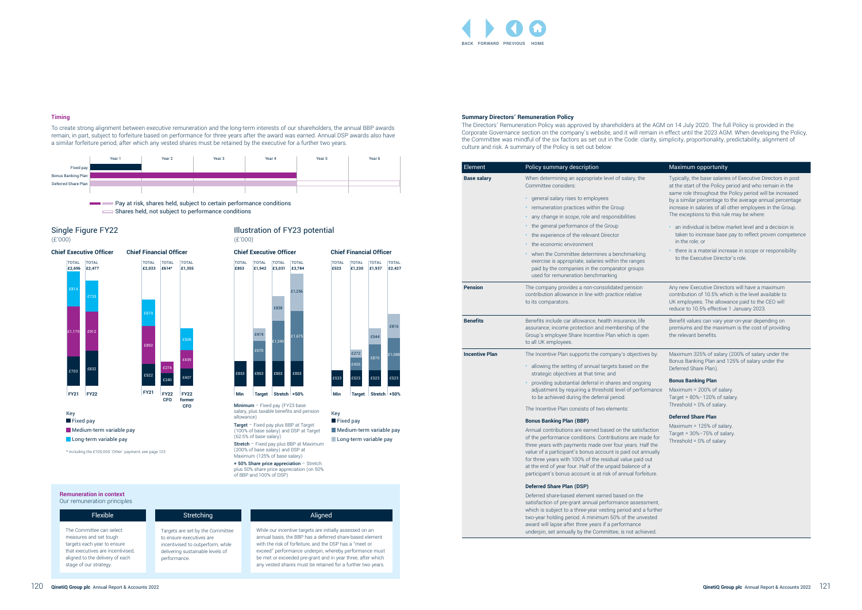£435 £272

£1,088

£523 £523 £523 £523

#### **Summary Directors' Remuneration Policy**

The Directors' Remuneration Policy was approved by shareholders at the AGM on 14 July 2020. The full Policy is provided in the Corporate Governance section on the company's website, and it will remain in effect until the 2023 AGM. When developing the Policy, the Committee was mindful of the six factors as set out in the Code: clarity, simplicity, proportionality, predictability, alignment of culture and risk. A summary of the Policy is set out below:

> Deferred share-based element earned based on the satisfaction of pre-grant annual performance assessme which is subject to a three-year vesting period and a further two-year holding period. A minimum 50% of the unvest award will lapse after three years if a performance underpin, set annually by the Committee, is not achieve



| Element               | Policy summary description                                                                                                                                                                    | Maximum opportunity                                                                                           |
|-----------------------|-----------------------------------------------------------------------------------------------------------------------------------------------------------------------------------------------|---------------------------------------------------------------------------------------------------------------|
| <b>Base salary</b>    | When determining an appropriate level of salary, the<br>Committee considers:                                                                                                                  | Typically, the base salarie<br>at the start of the Policy p                                                   |
|                       | · general salary rises to employees<br>remuneration practices within the Group                                                                                                                | same role throughout the<br>by a similar percentage to<br>increase in salaries of all                         |
|                       | any change in scope, role and responsibilities                                                                                                                                                | The exceptions to this rul                                                                                    |
|                       | the general performance of the Group                                                                                                                                                          | • an individual is below r                                                                                    |
|                       | the experience of the relevant Director<br>the economic environment                                                                                                                           | taken to increase base<br>in the role; or                                                                     |
|                       | • when the Committee determines a benchmarking<br>exercise is appropriate, salaries within the ranges<br>paid by the companies in the comparator groups<br>used for remuneration benchmarking | • there is a material incre<br>to the Executive Direct                                                        |
| <b>Pension</b>        | The company provides a non-consolidated pension<br>contribution allowance in line with practice relative<br>to its comparators.                                                               | Any new Executive Direct<br>contribution of 10.5% whi<br>UK employees. The allow<br>reduce to 10.5% effective |
| <b>Benefits</b>       | Benefits include car allowance, health insurance, life<br>assurance, income protection and membership of the<br>Group's employee Share Incentive Plan which is open<br>to all UK employees.   | Benefit values can vary yo<br>premiums and the maxim<br>the relevant benefits.                                |
| <b>Incentive Plan</b> | The Incentive Plan supports the company's objectives by:                                                                                                                                      | Maximum 325% of salary                                                                                        |
|                       | allowing the setting of annual targets based on the<br>strategic objectives at that time; and                                                                                                 | Bonus Banking Plan and<br>Deferred Share Plan).                                                               |
|                       | providing substantial deferral in shares and ongoing                                                                                                                                          | <b>Bonus Banking Plan</b>                                                                                     |
|                       | adjustment by requiring a threshold level of performance<br>to be achieved during the deferral period.                                                                                        | Maximum = 200% of sala<br>Target = $80\% - 120\%$ of sa                                                       |
|                       | The Incentive Plan consists of two elements:                                                                                                                                                  | Threshold = 0% of salary.                                                                                     |
|                       | not a notifical plan (ppp)                                                                                                                                                                    | <b>Deferred Share Plan</b>                                                                                    |

Key **Fixed pay** 

Minimum - Fixed pay (FY23 base salary, plus taxable benefits and pension allowance)

Target - Fixed pay plus BBP at Target (100% of base salary) and DSP at Target (62.5% of base salary) Stretch - Fixed pay plus BBP at Maximum

(200% of base salary) and DSP at Maximum (125% of base salary) + 50% Share price appreciation - Stretch

|                          | Maximum opportunity                                                                                                                                                                                                                                                                                                                                      |
|--------------------------|----------------------------------------------------------------------------------------------------------------------------------------------------------------------------------------------------------------------------------------------------------------------------------------------------------------------------------------------------------|
|                          | Typically, the base salaries of Executive Directors in post<br>at the start of the Policy period and who remain in the<br>same role throughout the Policy period will be increased<br>by a similar percentage to the average annual percentage<br>increase in salaries of all other employees in the Group.<br>The exceptions to this rule may be where: |
|                          | an individual is below market level and a decision is<br>taken to increase base pay to reflect proven competence<br>in the role; or                                                                                                                                                                                                                      |
|                          | there is a material increase in scope or responsibility<br>to the Executive Director's role.                                                                                                                                                                                                                                                             |
|                          | Any new Executive Directors will have a maximum<br>contribution of 10.5% which is the level available to<br>UK employees. The allowance paid to the CEO will<br>reduce to 10.5% effective 1 January 2023.                                                                                                                                                |
|                          | Benefit values can vary year-on-year depending on<br>premiums and the maximum is the cost of providing<br>the relevant benefits.                                                                                                                                                                                                                         |
| ĴУ.                      | Maximum 325% of salary (200% of salary under the<br>Bonus Banking Plan and 125% of salary under the<br>Deferred Share Plan).                                                                                                                                                                                                                             |
|                          | <b>Bonus Banking Plan</b>                                                                                                                                                                                                                                                                                                                                |
| ance                     | Maximum = 200% of salary.<br>Target = $80\% - 120\%$ of salary.<br>Threshold = $0\%$ of salary.                                                                                                                                                                                                                                                          |
|                          | <b>Deferred Share Plan</b>                                                                                                                                                                                                                                                                                                                               |
| ion<br>for<br>he<br>ally | Maximum = 125% of salary.<br>Target = $30\% - 75\%$ of salary.<br>Threshold = $0\%$ of salary                                                                                                                                                                                                                                                            |
| re.                      |                                                                                                                                                                                                                                                                                                                                                          |
| ent,<br>ther<br>эd       |                                                                                                                                                                                                                                                                                                                                                          |
| d.                       |                                                                                                                                                                                                                                                                                                                                                          |

#### **Bonus Banking Plan (BBP)**

Annual contributions are earned based on the satisfaction of the performance conditions. Contributions are made three years with payments made over four years. Half the value of a participant's bonus account is paid out annual for three years with 100% of the residual value paid out at the end of year four. Half of the unpaid balance of a participant's bonus account is at risk of annual forfeiture



#### **Deferred Share Plan (DSP)**

#### **Timing**

To create strong alignment between executive remuneration and the long-term interests of our shareholders, the annual BBP awards remain, in part, subject to forfeiture based on performance for three years after the award was earned. Annual DSP awards also have a similar forfeiture period, after which any vested shares must be retained by the executive for a further two years.



**Pay at risk, shares held, subject to certain performance conditions** Shares held, not subject to performance conditions



#### **Chief Executive Officer Chief Financial Officer**

\* Including the £100,000 'Other' payment, see page 123

plus 50% share price appreciation (on 50% of BBP and 100% of DSP)

## Illustration of FY23 potential (£'000)

## **Chief Executive Officer Chief Financial Officer**



Long-term variable pay

**Remuneration in context**

| Our remuneration principles                                                                                                                                                         |                                                                                                                                                       |                                                                                                                                                                                                                                                                                                                                                                         |
|-------------------------------------------------------------------------------------------------------------------------------------------------------------------------------------|-------------------------------------------------------------------------------------------------------------------------------------------------------|-------------------------------------------------------------------------------------------------------------------------------------------------------------------------------------------------------------------------------------------------------------------------------------------------------------------------------------------------------------------------|
| <b>Flexible</b>                                                                                                                                                                     | Stretching                                                                                                                                            | Aligned                                                                                                                                                                                                                                                                                                                                                                 |
| The Committee can select<br>measures and set tough<br>targets each year to ensure<br>that executives are incentivised,<br>aligned to the delivery of each<br>stage of our strategy. | Targets are set by the Committee<br>to ensure executives are<br>incentivised to outperform, while<br>delivering sustainable levels of<br>performance. | While our incentive targets are initially assessed on an<br>annual basis, the BBP has a deferred share-based element<br>with the risk of forfeiture, and the DSP has a "meet or<br>exceed" performance underpin, whereby performance must<br>be met or exceeded pre-grant and in year three, after which<br>any vested shares must be retained for a further two years. |

£816

**£523**

**Medium-term variable pay** Long-term variable pay

TOTAL TOTAL TOTAL TOTAL

**£1,230 £1,937 £2,427**

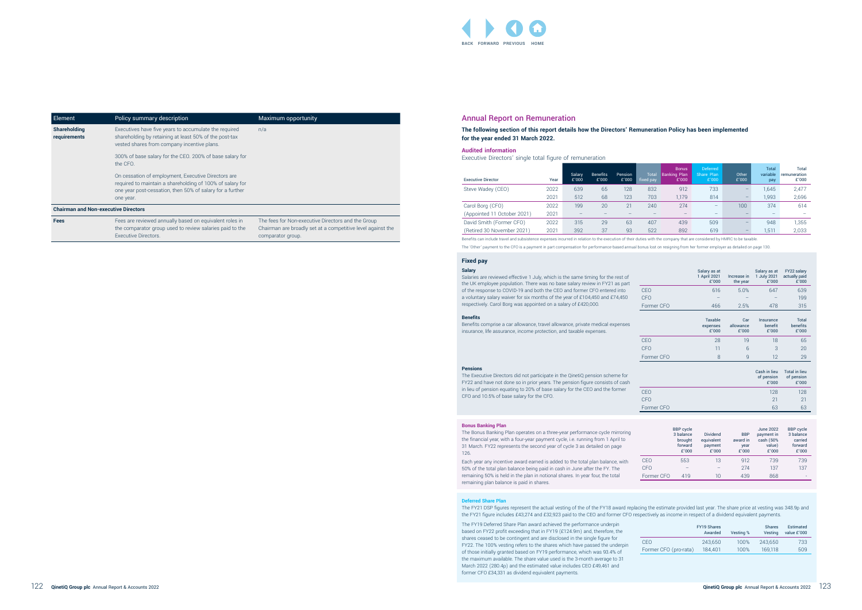#### Annual Report on Remuneration

**The following section of this report details how the Directors' Remuneration Policy has been implemented for the year ended 31 March 2022.**

#### **Audited information**

Executive Directors' single total figure of remuneration

| <b>Executive Director</b>   | Year | <b>Salary</b><br>£'000 | <b>Benefits</b><br>£'000 | Pension<br>£'000 | Total<br>fixed pay | <b>Bonus</b><br>Banking Plan<br>£'000 | <b>Deferred</b><br>Share Plan'<br>£'000 | Other<br>£'000 | <b>Total</b><br>variable<br>pay | Total<br>remuneration<br>£'000 |
|-----------------------------|------|------------------------|--------------------------|------------------|--------------------|---------------------------------------|-----------------------------------------|----------------|---------------------------------|--------------------------------|
| Steve Wadey (CEO)           | 2022 | 639                    | 65                       | 128              | 832                | 912                                   | 733                                     | -              | .645                            | 2,477                          |
|                             | 2021 | 512                    | 68                       | 123              | 703                | 1.179                                 | 814                                     | -              | 1,993                           | 2,696                          |
| Carol Borg (CFO)            | 2022 | 199                    | 20                       | 21               | 240                | 274                                   | $\qquad \qquad -$                       | 100            | 374                             | 614                            |
| (Appointed 11 October 2021) | 2021 | $-$                    |                          |                  |                    |                                       | $\overline{\phantom{0}}$                |                |                                 | $\overline{\phantom{0}}$       |
| David Smith (Former CFO)    | 2022 | 315                    | 29                       | 63               | 407                | 439                                   | 509                                     |                | 948                             | 1,355                          |
| (Retired 30 November 2021)  | 2021 | 392                    | 37                       | 93               | 522                | 892                                   | 619                                     | _              | , 511                           | 2,033                          |

Benefits can include travel and subsistence expenses incurred in relation to the execution of their duties with the company that are considered by HMRC to be taxable.

The 'Other' payment to the CFO is a payment in part compensation for performance-based annual bonus lost on resigning from her former employer as detailed on page 130.

|                       | <b>FY19 Shares</b><br>Awarded | Vesting % | <b>Shares</b><br>Vestina | Estimated<br>value £'000 |
|-----------------------|-------------------------------|-----------|--------------------------|--------------------------|
| CFO                   | 243.650                       | 100%      | 243.650                  | 733                      |
| Former CFO (pro-rata) | 184.401                       | 100%      | 169.118                  | 509                      |

|            | Salary as at<br>1 April 2021<br>£'000 | Increase in<br>the year   | Salary as at<br>1 July 2021<br>£'000 | FY22 salary<br>actually paid<br>£'000       |
|------------|---------------------------------------|---------------------------|--------------------------------------|---------------------------------------------|
| CEO        | 616                                   | 5.0%                      | 647                                  | 639                                         |
| <b>CFO</b> |                                       |                           |                                      | 199                                         |
| Former CFO | 466                                   | 2.5%                      | 478                                  | 315                                         |
|            | Taxable<br>expenses<br>£'000          | Car<br>allowance<br>£'000 | Insurance<br>benefit<br>£'000        | <b>Total</b><br>benefits<br>£'000           |
| CEO        | 28                                    | 19                        | 18                                   | 65                                          |
| <b>CFO</b> | 11                                    | 6                         | 3                                    | 20                                          |
| Former CFO | 8                                     | 9                         | 12                                   | 29                                          |
|            |                                       |                           | Cash in lieu<br>of pension<br>£'000  | <b>Total in lieu</b><br>of pension<br>£'000 |
| CEO        |                                       |                           | 128                                  | 128                                         |

|            | <b>BBP</b> cycle<br>3 balance<br>brought<br>forward<br>£'000 | <b>Dividend</b><br>equivalent<br>payment<br>£'000 | <b>BBP</b><br>award in<br>year<br>£'000 | <b>June 2022</b><br>payment in<br>cash (50%<br>value)<br>£'000 | <b>BBP</b> cycle<br>3 balance<br>carried<br>forward<br>£'000 |
|------------|--------------------------------------------------------------|---------------------------------------------------|-----------------------------------------|----------------------------------------------------------------|--------------------------------------------------------------|
| CEO        | 553                                                          | 13                                                | 912                                     | 739                                                            | 739                                                          |
| <b>CFO</b> |                                                              |                                                   | 274                                     | 137                                                            | 137                                                          |
| Former CFO | 419                                                          | 10                                                | 439                                     | 868                                                            |                                                              |

|            | £'000 | £'000 |
|------------|-------|-------|
| CEO        | 128   | 128   |
| <b>CFO</b> | 21    | 21    |
| Former CFO | 63    | 63    |
|            |       |       |

#### **Salary**

Ξ

Salaries are reviewed effective 1 July, which is the same timing for the rest of the UK employee population. There was no base salary review in FY21 as part of the response to COVID-19 and both the CEO and former CFO entered into a voluntary salary waiver for six months of the year of £104,450 and £74,450 respectively. Carol Borg was appointed on a salary of £420,000.

#### **Fixed pay**

**Benefits**

Benefits comprise a car allowance, travel allowance, private medical expenses insurance, life assurance, income protection, and taxable expenses.

#### **Pensions**

The Executive Directors did not participate in the QinetiQ pension scheme for FY22 and have not done so in prior years. The pension figure consists of cash in lieu of pension equating to 20% of base salary for the CEO and the former CFO and 10.5% of base salary for the CFO.

#### **Bonus Banking Plan**

The Bonus Banking Plan operates on a three-year performance cycle mirroring the financial year, with a four-year payment cycle, i.e. running from 1 April to 31 March. FY22 represents the second year of cycle 3 as detailed on page 126.

Each year any incentive award earned is added to the total plan balance, with 50% of the total plan balance being paid in cash in June after the FY. The remaining 50% is held in the plan in notional shares. In year four, the total remaining plan balance is paid in shares.

The FY19 Deferred Share Plan award achieved the performance underpin based on FY22 profit exceeding that in FY19 (£124.9m) and, therefore, the shares ceased to be contingent and are disclosed in the single figure for FY22. The 100% vesting refers to the shares which have passed the underpin of those initially granted based on FY19 performance, which was 93.4% of the maximum available. The share value used is the 3-month average to 31 March 2022 (280.4p) and the estimated value includes CEO £49,461 and former CFO £34,331 as dividend equivalent payments.



| Element                                     | Policy summary description                                                                                                                                                                 | Maximum opportunity                                                                                                                    |
|---------------------------------------------|--------------------------------------------------------------------------------------------------------------------------------------------------------------------------------------------|----------------------------------------------------------------------------------------------------------------------------------------|
| <b>Shareholding</b><br>requirements         | Executives have five years to accumulate the required<br>shareholding by retaining at least 50% of the post-tax<br>vested shares from company incentive plans.                             | n/a                                                                                                                                    |
|                                             | 300% of base salary for the CEO. 200% of base salary for<br>the CFO.                                                                                                                       |                                                                                                                                        |
|                                             | On cessation of employment, Executive Directors are<br>required to maintain a shareholding of 100% of salary for<br>one year post-cessation, then 50% of salary for a further<br>one year. |                                                                                                                                        |
| <b>Chairman and Non-executive Directors</b> |                                                                                                                                                                                            |                                                                                                                                        |
| <b>Fees</b>                                 | Fees are reviewed annually based on equivalent roles in<br>the comparator group used to review salaries paid to the<br>Executive Directors.                                                | The fees for Non-executive Directors and the Group<br>Chairman are broadly set at a competitive level against the<br>comparator group. |

**Deferred Share Plan**

The FY21 DSP figures represent the actual vesting of the of the FY18 award replacing the estimate provided last year. The share price at vesting was 348.9p and the FY21 figure includes £43,274 and £32,923 paid to the CEO and former CFO respectively as income in respect of a dividend equivalent payments.

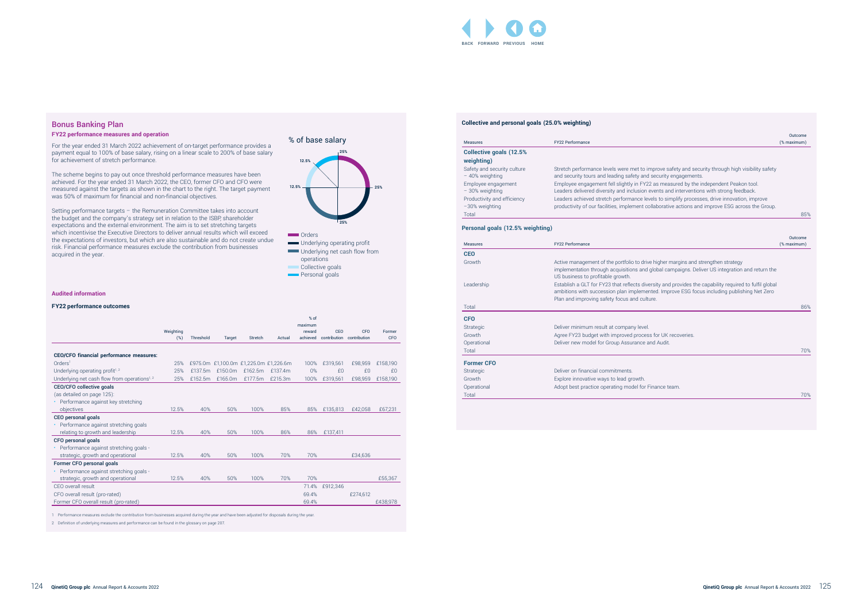#### **Collective and personal goals (25.0% weighting)**

| <b>Measures</b>                                | <b>FY22 Performance</b>                                                                                                                |
|------------------------------------------------|----------------------------------------------------------------------------------------------------------------------------------------|
| <b>Collective goals (12.5%)</b>                |                                                                                                                                        |
| weighting)                                     |                                                                                                                                        |
| Safety and security culture<br>- 40% weighting | Stretch performance levels were met to improve safety and secu<br>and security tours and leading safety and security engagements.      |
| Employee engagement<br>- 30% weighting         | Employee engagement fell slightly in FY22 as measured by the ir<br>Leaders delivered diversity and inclusion events and intervention   |
| Productivity and efficiency<br>-30% weighting  | Leaders achieved stretch performance levels to simplify process<br>productivity of our facilities, implement collaborative actions and |
| Total                                          |                                                                                                                                        |

#### **Personal goals (12.5% weighting)**

| <b>Measures</b>                  | FY22 Performance                                                                                       | Outcome<br>(% maximum) |
|----------------------------------|--------------------------------------------------------------------------------------------------------|------------------------|
| <b>Collective goals (12.5%</b>   |                                                                                                        |                        |
| weighting)                       |                                                                                                        |                        |
| Safety and security culture      | Stretch performance levels were met to improve safety and security through high visibility safety      |                        |
| - 40% weighting                  | and security tours and leading safety and security engagements.                                        |                        |
| Employee engagement              | Employee engagement fell slightly in FY22 as measured by the independent Peakon tool.                  |                        |
| - 30% weighting                  | Leaders delivered diversity and inclusion events and interventions with strong feedback.               |                        |
| Productivity and efficiency      | Leaders achieved stretch performance levels to simplify processes, drive innovation, improve           |                        |
| -30% weighting                   | productivity of our facilities, implement collaborative actions and improve ESG across the Group.      |                        |
| Total                            |                                                                                                        | 85%                    |
| Personal goals (12.5% weighting) |                                                                                                        |                        |
|                                  |                                                                                                        |                        |
| <b>Measures</b>                  | FY22 Performance                                                                                       | Outcome<br>(% maximum) |
| <b>CEO</b>                       |                                                                                                        |                        |
| Growth                           | Active management of the portfolio to drive higher margins and strengthen strategy                     |                        |
|                                  | implementation through acquisitions and global campaigns. Deliver US integration and return the        |                        |
|                                  | US business to profitable growth.                                                                      |                        |
| Leadership                       | Establish a GLT for FY23 that reflects diversity and provides the capability required to fulfil global |                        |
|                                  | ambitions with succession plan implemented. Improve ESG focus including publishing Net Zero            |                        |
|                                  | Plan and improving safety focus and culture.                                                           |                        |
| Total                            |                                                                                                        | 86%                    |
| <b>CFO</b>                       |                                                                                                        |                        |
| Strategic                        | Deliver minimum result at company level.                                                               |                        |
| Growth                           | Agree FY23 budget with improved process for UK recoveries.                                             |                        |
| Operational                      | Deliver new model for Group Assurance and Audit.                                                       |                        |
| Total                            |                                                                                                        | 70%                    |
| <b>Former CFO</b>                |                                                                                                        |                        |
|                                  | Deliver on financial commitments.                                                                      |                        |
| Strategic                        |                                                                                                        |                        |
| Growth                           |                                                                                                        |                        |
| Operational                      | Explore innovative ways to lead growth.<br>Adopt best practice operating model for Finance team.       |                        |

| <b>Measures</b>   | FY22 Performance                                                                                                                                                                                                                                      | (% maximum) |
|-------------------|-------------------------------------------------------------------------------------------------------------------------------------------------------------------------------------------------------------------------------------------------------|-------------|
| <b>CEO</b>        |                                                                                                                                                                                                                                                       |             |
| Growth            | Active management of the portfolio to drive higher margins and strengthen strategy<br>implementation through acquisitions and global campaigns. Deliver US integration and return the<br>US business to profitable growth.                            |             |
| Leadership        | Establish a GLT for FY23 that reflects diversity and provides the capability required to fulfil global<br>ambitions with succession plan implemented. Improve ESG focus including publishing Net Zero<br>Plan and improving safety focus and culture. |             |
| Total             |                                                                                                                                                                                                                                                       | 86%         |
| <b>CFO</b>        |                                                                                                                                                                                                                                                       |             |
| Strategic         | Deliver minimum result at company level.                                                                                                                                                                                                              |             |
| Growth            | Agree FY23 budget with improved process for UK recoveries.                                                                                                                                                                                            |             |
| Operational       | Deliver new model for Group Assurance and Audit.                                                                                                                                                                                                      |             |
| Total             |                                                                                                                                                                                                                                                       | 70%         |
| <b>Former CFO</b> |                                                                                                                                                                                                                                                       |             |
| Strategic         | Deliver on financial commitments.                                                                                                                                                                                                                     |             |

operations Collective goals **Personal goals** 

## Bonus Banking Plan

#### **FY22 performance measures and operation**

For the year ended 31 March 2022 achievement of on-target performance provides a payment equal to 100% of base salary, rising on a linear scale to 200% of base salary for achievement of stretch performance.

The scheme begins to pay out once threshold performance measures have been achieved. For the year ended 31 March 2022, the CEO, former CFO and CFO were measured against the targets as shown in the chart to the right. The target payment was 50% of maximum for financial and non-financial objectives.

Setting performance targets – the Remuneration Committee takes into account the budget and the company's strategy set in relation to the ISBP, shareholder expectations and the external environment. The aim is to set stretching targets which incentivise the Executive Directors to deliver annual results which will exceed the expectations of investors, but which are also sustainable and do not create undue risk. Financial performance measures exclude the contribution from businesses acquired in the year.

#### **Audited information**

#### **FY22 performance outcomes**

|                                                         |           |           |         |         |                                       | % of     |              |              |            |
|---------------------------------------------------------|-----------|-----------|---------|---------|---------------------------------------|----------|--------------|--------------|------------|
|                                                         |           |           |         |         |                                       | maximum  |              |              |            |
|                                                         | Weighting |           |         |         |                                       | reward   | <b>CEO</b>   | <b>CFO</b>   | Former     |
|                                                         | (%)       | Threshold | Target  | Stretch | Actual                                | achieved | contribution | contribution | <b>CFO</b> |
|                                                         |           |           |         |         |                                       |          |              |              |            |
| <b>CEO/CFO financial performance measures:</b>          |           |           |         |         |                                       |          |              |              |            |
| Orders <sup>1</sup>                                     | 25%       |           |         |         | £975.0m £1,100.0m £1,225.0m £1,226.6m | 100%     | £319,561     | £98,959      | £158,190   |
| Underlying operating profit <sup>1,2</sup>              | 25%       | £137.5m   | f150.0m | f162.5m | f137.4m                               | 0%       | f()          | f()          | f()        |
| Underlying net cash flow from operations <sup>1,2</sup> | 25%       | £152.5m   | £165.0m | £177.5m | £215.3m                               | 100%     | £319.561     | £98,959      | £158,190   |
| CEO/CFO collective goals                                |           |           |         |         |                                       |          |              |              |            |
| (as detailed on page 125):                              |           |           |         |         |                                       |          |              |              |            |
| Performance against key stretching                      |           |           |         |         |                                       |          |              |              |            |
| objectives                                              | 12.5%     | 40%       | 50%     | 100%    | 85%                                   | 85%      | £135,813     | £42,058      | £67,231    |
| CEO personal goals                                      |           |           |         |         |                                       |          |              |              |            |
| Performance against stretching goals                    |           |           |         |         |                                       |          |              |              |            |
| relating to growth and leadership                       | 12.5%     | 40%       | 50%     | 100%    | 86%                                   | 86%      | £137,411     |              |            |
| CFO personal goals                                      |           |           |         |         |                                       |          |              |              |            |
| Performance against stretching goals -                  |           |           |         |         |                                       |          |              |              |            |
| strategic, growth and operational                       | 12.5%     | 40%       | 50%     | 100%    | 70%                                   | 70%      |              | £34.636      |            |
| Former CFO personal goals                               |           |           |         |         |                                       |          |              |              |            |
| Performance against stretching goals -                  |           |           |         |         |                                       |          |              |              |            |
| strategic, growth and operational                       | 12.5%     | 40%       | 50%     | 100%    | 70%                                   | 70%      |              |              | £55,367    |
| CFO overall result                                      |           |           |         |         |                                       | 71.4%    | £912.346     |              |            |
| CFO overall result (pro-rated)                          |           |           |         |         |                                       | 69.4%    |              | £274,612     |            |
| Former CFO overall result (pro-rated)                   |           |           |         |         |                                       | 69.4%    |              |              | £438,978   |
|                                                         |           |           |         |         |                                       |          |              |              |            |



1 Performance measures exclude the contribution from businesses acquired during the year and have been adjusted for disposals during the year.

2 Definition of underlying measures and performance can be found in the glossary on page 207.

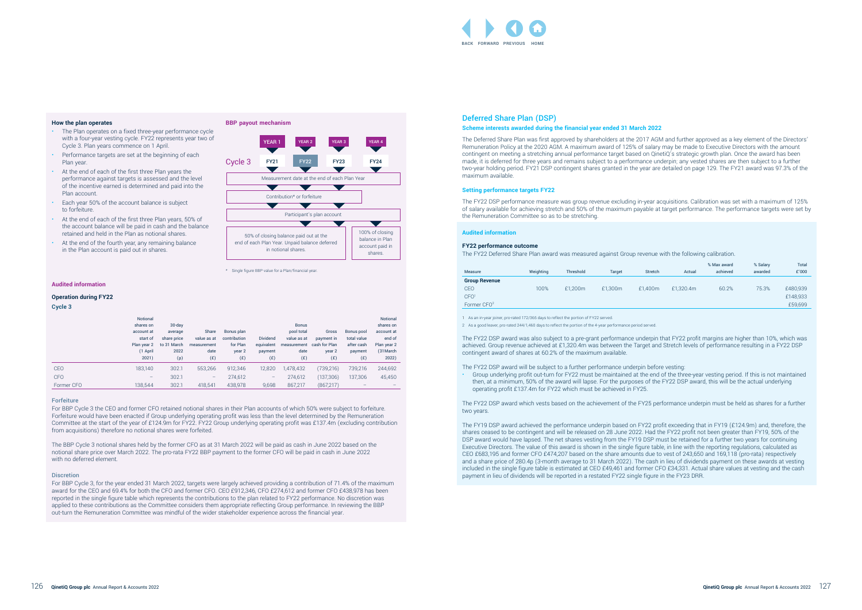## Deferred Share Plan (DSP) **Scheme interests awarded during the financial year ended 31 March 2022**

The Deferred Share Plan was first approved by shareholders at the 2017 AGM and further approved as a key element of the Directors'

Remuneration Policy at the 2020 AGM. A maximum award of 125% of salary may be made to Executive Directors with the amount contingent on meeting a stretching annual performance target based on QinetiQ's strategic growth plan. Once the award has been made, it is deferred for three years and remains subject to a performance underpin; any vested shares are then subject to a further two-year holding period. FY21 DSP contingent shares granted in the year are detailed on page 129. The FY21 award was 97.3% of the maximum available.

#### **Setting performance targets FY22**

The FY22 DSP performance measure was group revenue excluding in-year acquisitions. Calibration was set with a maximum of 125% of salary available for achieving stretch and 50% of the maximum payable at target performance. The performance targets were set by the Remuneration Committee so as to be stretching.

#### **Audited information**

#### **FY22 performance outcome**

The FY22 Deferred Share Plan award was measured against Group revenue with the following calibration.

| Measure                 | Weighting | Threshold | <b>Target</b> | Stretch | Actual    | % Max award<br>achieved | % Salary<br>awarded | <b>Total</b><br>£'000 |
|-------------------------|-----------|-----------|---------------|---------|-----------|-------------------------|---------------------|-----------------------|
| <b>Group Revenue</b>    |           |           |               |         |           |                         |                     |                       |
| <b>CEO</b>              | 100%      | £1.200m   | £1.300m       | £1.400m | £1,320.4m | 60.2%                   | 75.3%               | £480,939              |
| CFO <sup>1</sup>        |           |           |               |         |           |                         |                     | £148,933              |
| Former CFO <sup>2</sup> |           |           |               |         |           |                         |                     | £59,699               |

1 As an in-year joiner, pro-rated 172/365 days to reflect the portion of FY22 served.

2 As a good leaver, pro-rated 244/1,460 days to reflect the portion of the 4-year performance period served.

The FY22 DSP award was also subject to a pre-grant performance underpin that FY22 profit margins are higher than 10%, which was achieved. Group revenue achieved at £1,320.4m was between the Target and Stretch levels of performance resulting in a FY22 DSP contingent award of shares at 60.2% of the maximum available.

The FY22 DSP award will be subject to a further performance underpin before vesting:

• Group underlying profit out-turn for FY22 must be maintained at the end of the three-year vesting period. If this is not maintained then, at a minimum, 50% of the award will lapse. For the purposes of the FY22 DSP award, this will be the actual underlying operating profit £137.4m for FY22 which must be achieved in FY25.

The FY22 DSP award which vests based on the achievement of the FY25 performance underpin must be held as shares for a further two years.

The FY19 DSP award achieved the performance underpin based on FY22 profit exceeding that in FY19 (£124.9m) and, therefore, the shares ceased to be contingent and will be released on 28 June 2022. Had the FY22 profit not been greater than FY19, 50% of the DSP award would have lapsed. The net shares vesting from the FY19 DSP must be retained for a further two years for continuing Executive Directors. The value of this award is shown in the single figure table, in line with the reporting regulations, calculated as CEO £683,195 and former CFO £474,207 based on the share amounts due to vest of 243,650 and 169,118 (pro-rata) respectively and a share price of 280.4p (3-month average to 31 March 2022). The cash in lieu of dividends payment on these awards at vesting included in the single figure table is estimated at CEO £49,461 and former CFO £34,331. Actual share values at vesting and the cash payment in lieu of dividends will be reported in a restated FY22 single figure in the FY23 DRR.

#### <span id="page-5-0"></span>**How the plan operates**

- The Plan operates on a fixed three-year performance cycle with a four-year vesting cycle. FY22 represents year two of Cycle 3. Plan years commence on 1 April.
- Performance targets are set at the beginning of each Plan year.
- At the end of each of the first three Plan years the performance against targets is assessed and the level of the incentive earned is determined and paid into the Plan account.
- Each year 50% of the account balance is subject to forfeiture.
- At the end of each of the first three Plan years, 50% of the account balance will be paid in cash and the balance retained and held in the Plan as notional shares.
- At the end of the fourth year, any remaining balance in the Plan account is paid out in shares.

## **Audited information**

#### **Operation during FY22**

#### **Cycle 3**

|            | Notional<br>shares on<br>account at<br>start of<br>Plan year 2<br>(1 April<br>2021) | $30$ -day<br>average<br>share price<br>to 31 March<br>2022<br>(p) | Share<br>value as at<br>measurement<br>date<br>(E) | Bonus plan<br>contribution<br>for Plan<br>year 2<br>(E) | <b>Dividend</b><br>equivalent<br>payment<br>(E) | <b>Bonus</b><br>pool total<br>value as at<br>measurement cash for Plan<br>date<br>(E) | Gross<br>payment in<br>year 2<br>(E) | Bonus pool<br>total value<br>after cash<br>payment<br>(E) | <b>Notional</b><br>shares on<br>account at<br>end of<br>Plan year 2<br>(31 March<br>2022) |
|------------|-------------------------------------------------------------------------------------|-------------------------------------------------------------------|----------------------------------------------------|---------------------------------------------------------|-------------------------------------------------|---------------------------------------------------------------------------------------|--------------------------------------|-----------------------------------------------------------|-------------------------------------------------------------------------------------------|
| <b>CEO</b> | 183,140                                                                             | 302.1                                                             | 553,266                                            | 912,346                                                 | 12,820                                          | 1,478,432                                                                             | (739, 216)                           | 739,216                                                   | 244,692                                                                                   |
| <b>CFO</b> | $\qquad \qquad -$                                                                   | 302.1                                                             | -                                                  | 274,612                                                 | -                                               | 274,612                                                                               | (137, 306)                           | 137,306                                                   | 45,450                                                                                    |
| Former CFO | 138,544                                                                             | 302.1                                                             | 418.541                                            | 438,978                                                 | 9,698                                           | 867,217                                                                               | (867,217)                            |                                                           |                                                                                           |

#### Forfeiture

For BBP Cycle 3 the CEO and former CFO retained notional shares in their Plan accounts of which 50% were subject to forfeiture. Forfeiture would have been enacted if Group underlying operating profit was less than the level determined by the Remuneration Committee at the start of the year of £124.9m for FY22. FY22 Group underlying operating profit was £137.4m (excluding contribution from acquisitions) therefore no notional shares were forfeited.



The BBP Cycle 3 notional shares held by the former CFO as at 31 March 2022 will be paid as cash in June 2022 based on the notional share price over March 2022. The pro-rata FY22 BBP payment to the former CFO will be paid in cash in June 2022 with no deferred element.

#### Discretion

For BBP Cycle 3, for the year ended 31 March 2022, targets were largely achieved providing a contribution of 71.4% of the maximum award for the CEO and 69.4% for both the CFO and former CEO, CEO £912,346, CFO £274,612 and former CFO £438,978 has been reported in the single figure table which represents the contributions to the plan related to FY22 performance. No discretion was applied to these contributions as the Committee considers them appropriate reflecting Group performance. In reviewing the BBP out-turn the Remuneration Committee was mindful of the wider stakeholder experience across the financial year.

\* Single figure BBP value for a Plan/financial year.

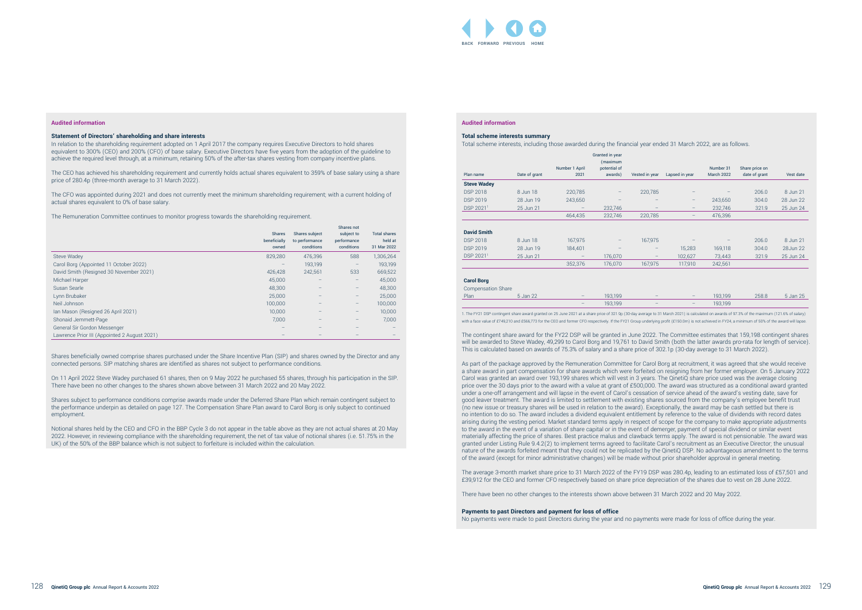#### **Audited information**

#### **Total scheme interests summary**

Total scheme interests, including those awarded during the financial year ended 31 March 2022, are as follows.

1. The FY21 DSP contingent share award granted on 25 June 2021 at a share price of 321.9p (30-day average to 31 March 2021) is calculated on awards of 97.3% of the maximum (121.6% of salary) with a face value of £749,210 and £566,773 for the CEO and former CFO respectively. If the FY21 Group underlying profit (£150.0m) is not achieved in FY24, a minimum of 50% of the award will lapse.

|                           |               |                | Granted in year<br>(maximum |                   |                          |                   |                |           |
|---------------------------|---------------|----------------|-----------------------------|-------------------|--------------------------|-------------------|----------------|-----------|
|                           |               | Number 1 April | potential of                |                   |                          | Number 31         | Share price on |           |
| Plan name                 | Date of grant | 2021           | awards)                     | Vested in year    | Lapsed in year           | <b>March 2022</b> | date of grant  | Vest date |
| <b>Steve Wadey</b>        |               |                |                             |                   |                          |                   |                |           |
| <b>DSP 2018</b>           | 8 Jun 18      | 220,785        |                             | 220,785           |                          |                   | 206.0          | 8 Jun 21  |
| <b>DSP 2019</b>           | 28 Jun 19     | 243,650        | -                           | $-$               | $\qquad \qquad -$        | 243,650           | 304.0          | 28 Jun 22 |
| DSP 2021 <sup>1</sup>     | 25 Jun 21     | -              | 232,746                     | $\qquad \qquad -$ | $-$                      | 232,746           | 321.9          | 25 Jun 24 |
|                           |               | 464,435        | 232,746                     | 220,785           | $\overline{\phantom{0}}$ | 476,396           |                |           |
|                           |               |                |                             |                   |                          |                   |                |           |
| <b>David Smith</b>        |               |                |                             |                   |                          |                   |                |           |
| <b>DSP 2018</b>           | 8 Jun 18      | 167,975        |                             | 167,975           |                          |                   | 206.0          | 8 Jun 21  |
| <b>DSP 2019</b>           | 28 Jun 19     | 184,401        |                             |                   | 15,283                   | 169,118           | 304.0          | 28 Jun 22 |
| DSP 2021 <sup>1</sup>     | 25 Jun 21     |                | 176,070                     | -                 | 102,627                  | 73,443            | 321.9          | 25 Jun 24 |
|                           |               | 352,376        | 176,070                     | 167,975           | 117,910                  | 242,561           |                |           |
|                           |               |                |                             |                   |                          |                   |                |           |
| <b>Carol Borg</b>         |               |                |                             |                   |                          |                   |                |           |
| <b>Compensation Share</b> |               |                |                             |                   |                          |                   |                |           |
| Plan                      | 5 Jan 22      |                | 193,199                     |                   |                          | 193,199           | 258.8          | 5 Jan 25  |

| <b>Compensation Share</b> |          |                          |         |                          |                          |         |
|---------------------------|----------|--------------------------|---------|--------------------------|--------------------------|---------|
| Plan                      | 5 Jan 22 | $\overline{\phantom{0}}$ | 193.199 | $\overline{\phantom{0}}$ | $\overline{\phantom{0}}$ | 193.199 |
|                           |          | -                        | 193.199 | $\overline{\phantom{0}}$ | $\overline{\phantom{0}}$ | 193.199 |

The contingent share award for the FY22 DSP will be granted in June 2022. The Committee estimates that 159,198 contingent shares will be awarded to Steve Wadey, 49,299 to Carol Borg and 19,761 to David Smith (both the latter awards pro-rata for length of service). This is calculated based on awards of 75.3% of salary and a share price of 302.1p (30-day average to 31 March 2022).

As part of the package approved by the Remuneration Committee for Carol Borg at recruitment, it was agreed that she would receive a share award in part compensation for share awards which were forfeited on resigning from her former employer. On 5 January 2022 Carol was granted an award over 193,199 shares which will vest in 3 years. The QinetiQ share price used was the average closing price over the 30 days prior to the award with a value at grant of £500,000. The award was structured as a conditional award granted under a one-off arrangement and will lapse in the event of Carol's cessation of service ahead of the award's vesting date, save for good leaver treatment. The award is limited to settlement with existing shares sourced from the company's employee benefit trust (no new issue or treasury shares will be used in relation to the award). Exceptionally, the award may be cash settled but there is no intention to do so. The award includes a dividend equivalent entitlement by reference to the value of dividends with record dates arising during the vesting period. Market standard terms apply in respect of scope for the company to make appropriate adjustments to the award in the event of a variation of share capital or in the event of demerger, payment of special dividend or similar event materially affecting the price of shares. Best practice malus and clawback terms apply. The award is not pensionable. The award was granted under Listing Rule 9.4.2(2) to implement terms agreed to facilitate Carol's recruitment as an Executive Director; the unusual nature of the awards forfeited meant that they could not be replicated by the QinetiQ DSP. No advantageous amendment to the terms of the award (except for minor administrative changes) will be made without prior shareholder approval in general meeting.

The average 3-month market share price to 31 March 2022 of the FY19 DSP was 280.4p, leading to an estimated loss of £57,501 and £39,912 for the CEO and former CFO respectively based on share price depreciation of the shares due to vest on 28 June 2022.

There have been no other changes to the interests shown above between 31 March 2022 and 20 May 2022.

#### **Payments to past Directors and payment for loss of office**

No payments were made to past Directors during the year and no payments were made for loss of office during the year.

#### **Audited information**

#### **Statement of Directors' shareholding and share interests**

In relation to the shareholding requirement adopted on 1 April 2017 the company requires Executive Directors to hold shares equivalent to 300% (CEO) and 200% (CFO) of base salary. Executive Directors have five years from the adoption of the guideline to achieve the required level through, at a minimum, retaining 50% of the after-tax shares vesting from company incentive plans.

The CEO has achieved his shareholding requirement and currently holds actual shares equivalent to 359% of base salary using a share price of 280.4p (three-month average to 31 March 2022).

The CFO was appointed during 2021 and does not currently meet the minimum shareholding requirement; with a current holding of actual shares equivalent to 0% of base salary.

The Remuneration Committee continues to monitor progress towards the shareholding requirement.

|                                              | <b>Shares</b><br>beneficially<br>owned | Shares subject<br>to performance<br>conditions | Shares not<br>subject to<br>performance<br>conditions | <b>Total shares</b><br>held at<br>31 Mar 2022 |
|----------------------------------------------|----------------------------------------|------------------------------------------------|-------------------------------------------------------|-----------------------------------------------|
| Steve Wadey                                  | 829,280                                | 476,396                                        | 588                                                   | 1,306,264                                     |
| Carol Borg (Appointed 11 October 2022)       |                                        | 193,199                                        | $\qquad \qquad -$                                     | 193,199                                       |
| David Smith (Resigned 30 November 2021)      | 426,428                                | 242,561                                        | 533                                                   | 669,522                                       |
| Michael Harper                               | 45,000                                 |                                                | $\qquad \qquad -$                                     | 45,000                                        |
| Susan Searle                                 | 48,300                                 |                                                | $\qquad \qquad -$                                     | 48,300                                        |
| Lynn Brubaker                                | 25,000                                 |                                                | $\qquad \qquad -$                                     | 25,000                                        |
| Neil Johnson                                 | 100,000                                |                                                | $\qquad \qquad -$                                     | 100,000                                       |
| Ian Mason (Resigned 26 April 2021)           | 10,000                                 |                                                | $\qquad \qquad -$                                     | 10,000                                        |
| Shonaid Jemmett-Page                         | 7.000                                  |                                                | $\qquad \qquad -$                                     | 7.000                                         |
| General Sir Gordon Messenger                 |                                        |                                                |                                                       |                                               |
| Lawrence Prior III (Appointed 2 August 2021) |                                        |                                                |                                                       |                                               |

Shares beneficially owned comprise shares purchased under the Share Incentive Plan (SIP) and shares owned by the Director and any connected persons. SIP matching shares are identified as shares not subject to performance conditions.

On 11 April 2022 Steve Wadey purchased 61 shares, then on 9 May 2022 he purchased 55 shares, through his participation in the SIP. There have been no other changes to the shares shown above between 31 March 2022 and 20 May 2022.

Shares subject to performance conditions comprise awards made under the Deferred Share Plan which remain contingent subject to the performance underpin as detailed [on page 127.](#page-5-0) The Compensation Share Plan award to Carol Borg is only subject to continued employment.

Notional shares held by the CEO and CFO in the BBP Cycle 3 do not appear in the table above as they are not actual shares at 20 May 2022. However, in reviewing compliance with the shareholding requirement, the net of tax value of notional shares (i.e. 51.75% in the UK) of the 50% of the BBP balance which is not subject to forfeiture is included within the calculation.

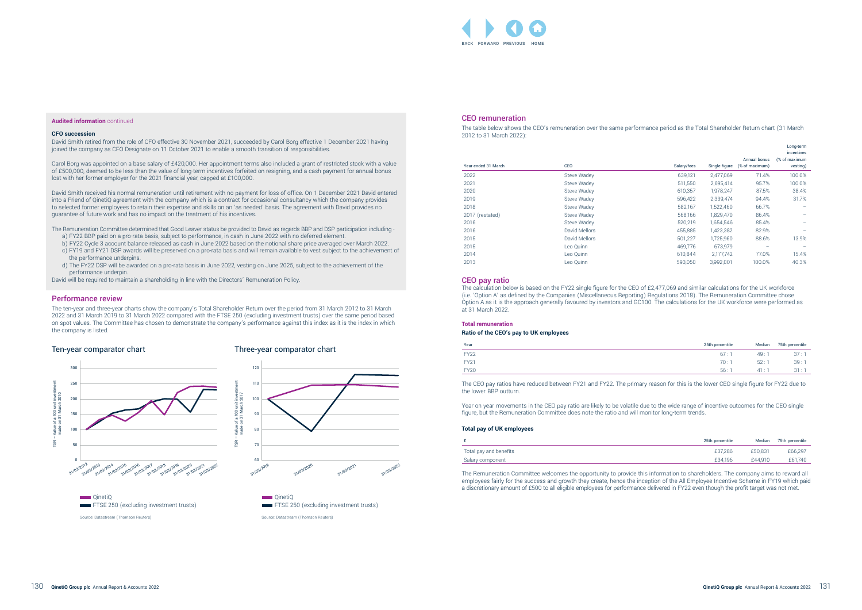#### CEO remuneration

The table below shows the CEO's remuneration over the same performance period as the Total Shareholder Return chart (31 March 2012 to 31 March 2022):

| Year ended 31 March | CEO           | Salary/fees | Single figure | Annual bonus<br>(% of maximum) | Long-term<br>incentives<br>(% of maximum<br>vesting) |
|---------------------|---------------|-------------|---------------|--------------------------------|------------------------------------------------------|
| 2022                | Steve Wadey   | 639,121     | 2,477,069     | 71.4%                          | 100.0%                                               |
| 2021                | Steve Wadey   | 511,550     | 2,695,414     | 95.7%                          | 100.0%                                               |
| 2020                | Steve Wadey   | 610,357     | 1.978.247     | 87.5%                          | 38.4%                                                |
| 2019                | Steve Wadey   | 596,422     | 2,339,474     | 94.4%                          | 31.7%                                                |
| 2018                | Steve Wadey   | 582,167     | 1,522,460     | 66.7%                          |                                                      |
| 2017 (restated)     | Steve Wadey   | 568.166     | 1,829,470     | 86.4%                          |                                                      |
| 2016                | Steve Wadey   | 520,219     | 1,654,546     | 85.4%                          |                                                      |
| 2016                | David Mellors | 455,885     | 1,423,382     | 82.9%                          |                                                      |
| 2015                | David Mellors | 501,227     | 1,725,960     | 88.6%                          | 13.9%                                                |
| 2015                | Leo Quinn     | 469,776     | 673,979       |                                |                                                      |
| 2014                | Leo Quinn     | 610.844     | 2,177,742     | 77.0%                          | 15.4%                                                |
| 2013                | Leo Quinn     | 593,050     | 3,992,001     | 100.0%                         | 40.3%                                                |
|                     |               |             |               |                                |                                                      |

#### CEO pay ratio

The calculation below is based on the FY22 single figure for the CEO of £2,477,069 and similar calculations for the UK workforce (i.e. 'Option A' as defined by the Companies (Miscellaneous Reporting) Regulations 2018). The Remuneration Committee chose Option A as it is the approach generally favoured by investors and GC100. The calculations for the UK workforce were performed as at 31 March 2022.

#### **Total remuneration**

#### **Ratio of the CEO's pay to UK employees**

| Year        | 25th percentile | Median | 75th percentile |
|-------------|-----------------|--------|-----------------|
| <b>FY22</b> | 67:             | 49:1   | 37:7            |
| <b>FY21</b> | 70:             | 52:1   | 39:             |
| <b>FY20</b> | 56:             | 41:1   | 31:1            |

The CEO pay ratios have reduced between FY21 and FY22. The primary reason for this is the lower CEO single figure for FY22 due to the lower BBP outturn.

Year on year movements in the CEO pay ratio are likely to be volatile due to the wide range of incentive outcomes for the CEO single figure, but the Remuneration Committee does note the ratio and will monitor long-term trends.

#### **Total pay of UK employees**

31/03/2022

|                        | 25th percentile | Median  | 75th percentile |
|------------------------|-----------------|---------|-----------------|
| Total pay and benefits | £37,286         | £50.831 | £66,297         |
| Salary component       | £34.196         | £44.910 | £61.740         |

The Remuneration Committee welcomes the opportunity to provide this information to shareholders. The company aims to reward all employees fairly for the success and growth they create, hence the inception of the All Employee Incentive Scheme in FY19 which paid a discretionary amount of £500 to all eligible employees for performance delivered in FY22 even though the profit target was not met.

#### **Audited information** continued

#### **CFO succession**

David Smith retired from the role of CFO effective 30 November 2021, succeeded by Carol Borg effective 1 December 2021 having joined the company as CFO Designate on 11 October 2021 to enable a smooth transition of responsibilities.

Carol Borg was appointed on a base salary of £420,000. Her appointment terms also included a grant of restricted stock with a value of £500,000, deemed to be less than the value of long-term incentives forfeited on resigning, and a cash payment for annual bonus lost with her former employer for the 2021 financial year, capped at £100,000.

David Smith received his normal remuneration until retirement with no payment for loss of office. On 1 December 2021 David entered into a Friend of QinetiQ agreement with the company which is a contract for occasional consultancy which the company provides to selected former employees to retain their expertise and skills on an 'as needed' basis. The agreement with David provides no guarantee of future work and has no impact on the treatment of his incentives.

The Remuneration Committee determined that Good Leaver status be provided to David as regards BBP and DSP participation including a) FY22 BBP paid on a pro-rata basis, subject to performance, in cash in June 2022 with no deferred element.

b) FY22 Cycle 3 account balance released as cash in June 2022 based on the notional share price averaged over March 2022.

c) FY19 and FY21 DSP awards will be preserved on a pro-rata basis and will remain available to vest subject to the achievement of the performance underpins.

d) The FY22 DSP will be awarded on a pro-rata basis in June 2022, vesting on June 2025, subject to the achievement of the performance underpin.

David will be required to maintain a shareholding in line with the Directors' Remuneration Policy.

#### Performance review

The ten-year and three-year charts show the company's Total Shareholder Return over the period from 31 March 2012 to 31 March 2022 and 31 March 2019 to 31 March 2022 compared with the FTSE 250 (excluding investment trusts) over the same period based on spot values. The Committee has chosen to demonstrate the company's performance against this index as it is the index in which the company is listed.

#### Ten-year comparator chart



#### Three-year comparator chart

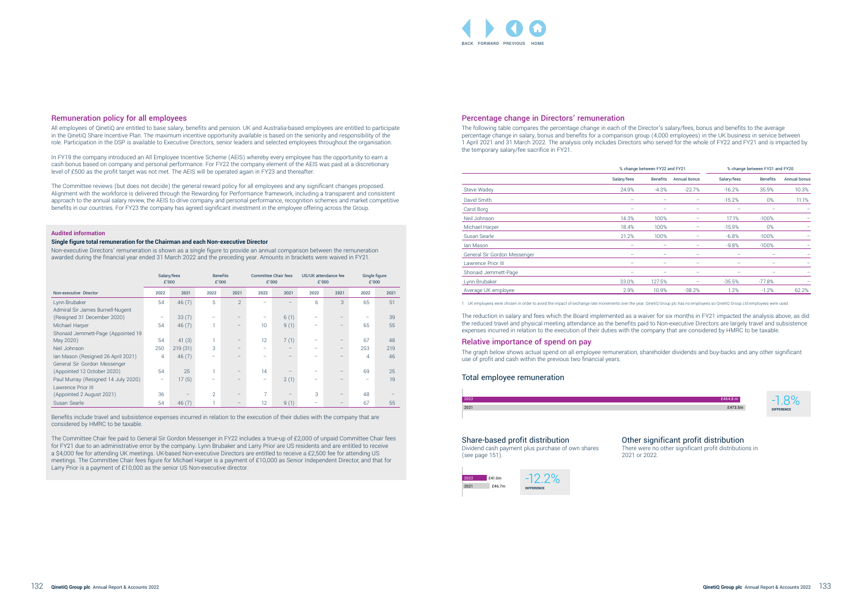#### Percentage change in Directors' remuneration

The following table compares the percentage change in each of the Director's salary percentage change in salary, bonus and benefits for a comparison group 1 April 2021 and 31 March 2022. The analysis only includes Directors who the temporary salary/fee sacrifice in FY21.

|                              | % change between FY22 and FY21 | % change between FY21 and FY20 |              |             |                 |                            |
|------------------------------|--------------------------------|--------------------------------|--------------|-------------|-----------------|----------------------------|
|                              | Salary/fees                    | <b>Benefits</b>                | Annual bonus | Salary/fees | <b>Benefits</b> | <b>Annual bonus</b>        |
| <b>Steve Wadey</b>           | 24.9%                          | $-4.3%$                        | $-22.7%$     | $-16.2%$    | 35.9%           | 10.3%                      |
| David Smith                  |                                |                                |              | $-15.2%$    | $0\%$           | 11.1%                      |
| Carol Borg                   | $\equiv$                       | -                              | -            |             |                 | $\qquad \qquad -$          |
| Neil Johnson                 | 14.3%                          | 100%                           | -            | 17.1%       | $-100%$         | $\qquad \qquad \  \  \, -$ |
| Michael Harper               | 18.4%                          | 100%                           | -            | $-15.9%$    | $0\%$           | $\overline{\phantom{m}}$   |
| Susan Searle                 | 21.2%                          | 100%                           |              | $-6.8%$     | $-100%$         |                            |
| lan Mason                    | $\overline{\phantom{0}}$       | $\equiv$                       | -            | $-9.8%$     | $-100%$         | $\equiv$                   |
| General Sir Gordon Messenger |                                | -                              | -            |             |                 |                            |
| Lawrence Prior III           | $\equiv$                       | -                              | -            |             |                 |                            |
| Shonaid Jemmett-Page         |                                |                                | -            |             |                 |                            |
| Lynn Brubaker                | 33.0%                          | 127.5%                         |              | $-35.5%$    | $-77.8%$        |                            |
| Average UK employee          | 2.9%                           | 10.9%                          | $-38.2%$     | 1.2%        | $-1.2%$         | 62.2%                      |

1 UK employees were chosen in order to avoid the impact of exchange rate movements over the year. QinetiQ Group plc has no employees so QinetiQ Group Ltd employees were used.

The reduction in salary and fees which the Board implemented as a waiver for six months in FY21 impacted the analysis above, as did the reduced travel and physical meeting attendance as the benefits paid to Non-executive Directors are largely travel and subsistence expenses incurred in relation to the execution of their duties with the company that are considered by HMRC to be taxable.

#### Relative importance of spend on pay

The graph below shows actual spend on all employee remuneration, shareholder dividends and buy-backs and any other significant use of profit and cash within the previous two financial years.





#### Total employee remuneration

2021





#### Share-based profit distribution

Dividend cash payment plus purchase of own shares (see page 151).

## Other significant profit distribution

There were no other significant profit distributions in

2021 or 2022.

| tor's salary/fees, bonus and benefits to the average       |
|------------------------------------------------------------|
| (4,000 employees) in the UK business in service between    |
| o served for the whole of FY22 and FY21 and is impacted by |

#### Remuneration policy for all employees

All employees of QinetiQ are entitled to base salary, benefits and pension. UK and Australia-based employees are entitled to participate in the QinetiQ Share Incentive Plan. The maximum incentive opportunity available is based on the seniority and responsibility of the role. Participation in the DSP is available to Executive Directors, senior leaders and selected employees throughout the organisation.

The Committee Chair fee paid to General Sir Gordon Messenger in FY22 includes a true-up of £2,000 of unpaid Committee Chair fees for FY21 due to an administrative error by the company. Lynn Brubaker and Larry Prior are US residents and are entitled to receive a \$4,000 fee for attending UK meetings. UK-based Non-executive Directors are entitled to receive a £2,500 fee for attending US meetings. The Committee Chair fees figure for Michael Harper is a payment of £10,000 as Senior Independent Director, and that for Larry Prior is a payment of £10,000 as the senior US Non-executive director.

In FY19 the company introduced an All Employee Incentive Scheme (AEIS) whereby every employee has the opportunity to earn a cash bonus based on company and personal performance. For FY22 the company element of the AEIS was paid at a discretionary level of £500 as the profit target was not met. The AEIS will be operated again in FY23 and thereafter.

The Committee reviews (but does not decide) the general reward policy for all employees and any significant changes proposed. Alignment with the workforce is delivered through the Rewarding for Performance framework, including a transparent and consistent approach to the annual salary review, the AEIS to drive company and personal performance, recognition schemes and market competitive benefits in our countries. For FY23 the company has agreed significant investment in the employee offering across the Group.

#### **Audited information**

#### **Single figure total remuneration for the Chairman and each Non-executive Director**

Non-executive Directors' remuneration is shown as a single figure to provide an annual comparison between the remuneration awarded during the financial year ended 31 March 2022 and the preceding year. Amounts in brackets were waived in FY21.

|                                     |                   | Salary/fees<br>£'000 |                | <b>Benefits</b><br>£'000 |                   | <b>Committee Chair fees</b><br>£'000 |      | US/UK attendance fee<br>£'000 | Single figure | £'000 |
|-------------------------------------|-------------------|----------------------|----------------|--------------------------|-------------------|--------------------------------------|------|-------------------------------|---------------|-------|
| Non-executive Director              | 2022              | 2021                 | 2022           | 2021                     | 2022              | 2021                                 | 2022 | 2021                          | 2022          | 2021  |
| Lynn Brubaker                       | 54                | 46(7)                | 5              | $\overline{2}$           |                   |                                      | 6    | 3                             | 65            | 51    |
| Admiral Sir James Burnell-Nugent    |                   |                      |                |                          |                   |                                      |      |                               |               |       |
| (Resigned 31 December 2020)         | $\qquad \qquad =$ | 33(7)                |                | $\overline{\phantom{0}}$ | -                 | 6(1)                                 |      | $\overline{\phantom{0}}$      | -             | 39    |
| Michael Harper                      | 54                | 46(7)                |                | $\qquad \qquad -$        | 10                | 9(1)                                 |      | $\qquad \qquad -$             | 65            | 55    |
| Shonaid Jemmett-Page (Appointed 19  |                   |                      |                |                          |                   |                                      |      |                               |               |       |
| May 2020)                           | 54                | 41(3)                |                | $\qquad \qquad -$        | 12                | 7(1)                                 |      | $\qquad \qquad -$             | 67            | 48    |
| Neil Johnson                        | 250               | 219(31)              | 3              | $\qquad \qquad -$        |                   |                                      |      | $\qquad \qquad \  \, -$       | 253           | 219   |
| Ian Mason (Resigned 26 April 2021)  | 4                 | 46(7)                |                |                          |                   |                                      |      | $\overline{\phantom{0}}$      | 4             | 46    |
| General Sir Gordon Messenger        |                   |                      |                |                          |                   |                                      |      |                               |               |       |
| (Appointed 12 October 2020)         | 54                | 25                   |                | $\qquad \qquad -$        | 14                |                                      |      | $\overline{\phantom{m}}$      | 69            | 25    |
| Paul Murray (Resigned 14 July 2020) | $\qquad \qquad -$ | 17(5)                |                |                          | $\qquad \qquad -$ | 2(1)                                 |      |                               | -             | 19    |
| Lawrence Prior III                  |                   |                      |                |                          |                   |                                      |      |                               |               |       |
| (Appointed 2 August 2021)           | 36                |                      | $\overline{2}$ | $\qquad \qquad -$        | $\overline{ }$    |                                      | 3    | $\overline{\phantom{a}}$      | 48            |       |
| Susan Searle                        | 54                | 46(7)                |                |                          | 12                | 9(1)                                 |      |                               | 67            | 55    |

Benefits include travel and subsistence expenses incurred in relation to the execution of their duties with the company that are considered by HMRC to be taxable.

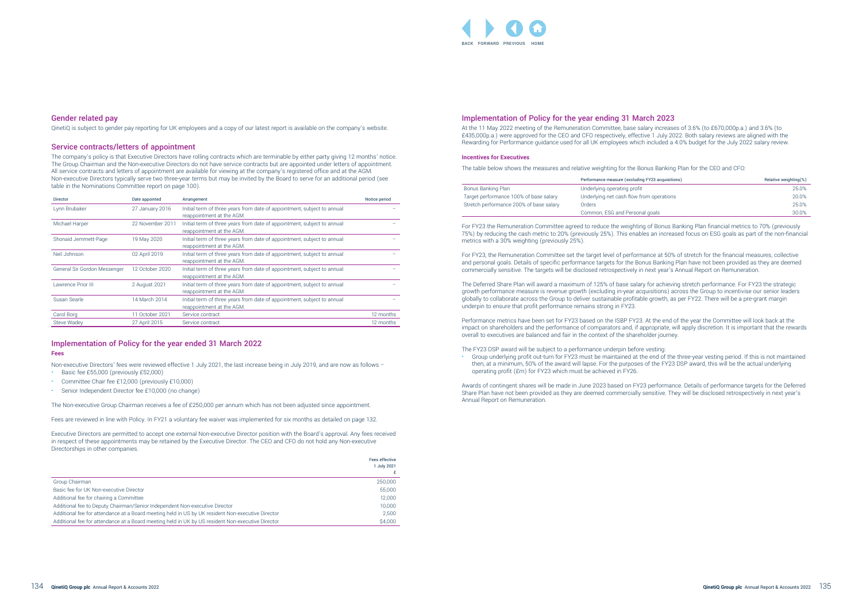#### Implementation of Policy for the year ending 31 March 2023

At the 11 May 2022 meeting of the Remuneration Committee, base salary increases of 3.6% (to £670,000p.a.) and 3.6% (to £435,000p.a.) were approved for the CEO and CFO respectively, effective 1 July 2022. Both salary reviews are aligned with the Rewarding for Performance guidance used for all UK employees which included a 4.0% budget for the July 2022 salary review.

#### **Incentives for Executives**

The table below shows the measures and relative weighting for the Bonus Banking Plan for the CEO and CFO:

|                                         | Performance measure (excluding FY23 acquisitions) | Relative weighting(%) |
|-----------------------------------------|---------------------------------------------------|-----------------------|
| Bonus Banking Plan                      | Underlying operating profit                       | 25.0%                 |
| Target performance 100% of base salary  | Underlying net cash flow from operations          | 20.0%                 |
| Stretch performance 200% of base salary | Orders                                            | 25.0%                 |
|                                         | Common, ESG and Personal goals                    | 30.0%                 |

For FY23 the Remuneration Committee agreed to reduce the weighting of Bonus Banking Plan financial metrics to 70% (previously 75%) by reducing the cash metric to 20% (previously 25%). This enables an increased focus on ESG goals as part of the non-financial metrics with a 30% weighting (previously 25%).

For FY23, the Remuneration Committee set the target level of performance at 50% of stretch for the financial measures, collective and personal goals. Details of specific performance targets for the Bonus Banking Plan have not been provided as they are deemed commercially sensitive. The targets will be disclosed retrospectively in next year's Annual Report on Remuneration.

The Deferred Share Plan will award a maximum of 125% of base salary for achieving stretch performance. For FY23 the strategic growth performance measure is revenue growth (excluding in-year acquisitions) across the Group to incentivise our senior leaders globally to collaborate across the Group to deliver sustainable profitable growth, as per FY22. There will be a pre-grant margin underpin to ensure that profit performance remains strong in FY23.

Performance metrics have been set for FY23 based on the ISBP FY23. At the end of the year the Committee will look back at the impact on shareholders and the performance of comparators and, if appropriate, will apply discretion. It is important that the rewards overall to executives are balanced and fair in the context of the shareholder journey.

The FY23 DSP award will be subject to a performance underpin before vesting:

- Basic fee £55,000 (previously £52,000)
- Committee Chair fee £12,000 (previously £10,000) Senior Independent Director fee £10,000 (no change)

• Group underlying profit out-turn for FY23 must be maintained at the end of the three-year vesting period. If this is not maintained then, at a minimum, 50% of the award will lapse. For the purposes of the FY23 DSP award, this will be the actual underlying operating profit (£m) for FY23 which must be achieved in FY26.

Awards of contingent shares will be made in June 2023 based on FY23 performance. Details of performance targets for the Deferred Share Plan have not been provided as they are deemed commercially sensitive. They will be disclosed retrospectively in next year's Annual Report on Remuneration.

#### Gender related pay

QinetiQ is subject to gender pay reporting for UK employees and a copy of our latest report is available on the company's website.

#### Service contracts/letters of appointment

The company's policy is that Executive Directors have rolling contracts which are terminable by either party giving 12 months' notice. The Group Chairman and the Non-executive Directors do not have service contracts but are appointed under letters of appointment. All service contracts and letters of appointment are available for viewing at the company's registered office and at the AGM. Non-executive Directors typically serve two three-year terms but may be invited by the Board to serve for an additional period (see table in the Nominations Committee report on page 100).

| <b>Director</b>              | Date appointed   | Arrangement                                                                                          | Notice period |
|------------------------------|------------------|------------------------------------------------------------------------------------------------------|---------------|
| Lynn Brubaker                | 27 January 2016  | Initial term of three years from date of appointment, subject to annual<br>reappointment at the AGM. |               |
| Michael Harper               | 22 November 2011 | Initial term of three years from date of appointment, subject to annual<br>reappointment at the AGM. |               |
| Shonaid Jemmett-Page         | 19 May 2020      | Initial term of three years from date of appointment, subject to annual<br>reappointment at the AGM. |               |
| Neil Johnson                 | 02 April 2019    | Initial term of three years from date of appointment, subject to annual<br>reappointment at the AGM. |               |
| General Sir Gordon Messenger | 12 October 2020  | Initial term of three years from date of appointment, subject to annual<br>reappointment at the AGM. |               |
| Lawrence Prior III           | 2 August 2021    | Initial term of three years from date of appointment, subject to annual<br>reappointment at the AGM. |               |
| Susan Searle                 | 14 March 2014    | Initial term of three years from date of appointment, subject to annual<br>reappointment at the AGM. |               |
| Carol Borg                   | 11 October 2021  | Service contract                                                                                     | 12 months     |
| Steve Wadey                  | 27 April 2015    | Service contract                                                                                     | 12 months     |

## Implementation of Policy for the year ended 31 March 2022 **Fees**

Non-executive Directors' fees were reviewed effective 1 July 2021, the last increase being in July 2019, and are now as follows –

The Non-executive Group Chairman receives a fee of £250,000 per annum which has not been adjusted since appointment.

Fees are reviewed in line with Policy. In FY21 a voluntary fee waiver was implemented for six months as detailed on page 132.

Executive Directors are permitted to accept one external Non-executive Director position with the Board's approval. Any fees received in respect of these appointments may be retained by the Executive Director. The CEO and CFO do not hold any Non-executive Directorships in other companies.

|                                                                                                   | Fees effective |
|---------------------------------------------------------------------------------------------------|----------------|
|                                                                                                   | July 2021      |
|                                                                                                   |                |
| Group Chairman                                                                                    | 250,000        |
| Basic fee for UK Non-executive Director                                                           | 55,000         |
| Additional fee for chairing a Committee                                                           | 12,000         |
| Additional fee to Deputy Chairman/Senior Independent Non-executive Director                       | 10.000         |
| Additional fee for attendance at a Board meeting held in US by UK resident Non-executive Director | 2.500          |
| Additional fee for attendance at a Board meeting held in UK by US resident Non-executive Director | \$4,000        |